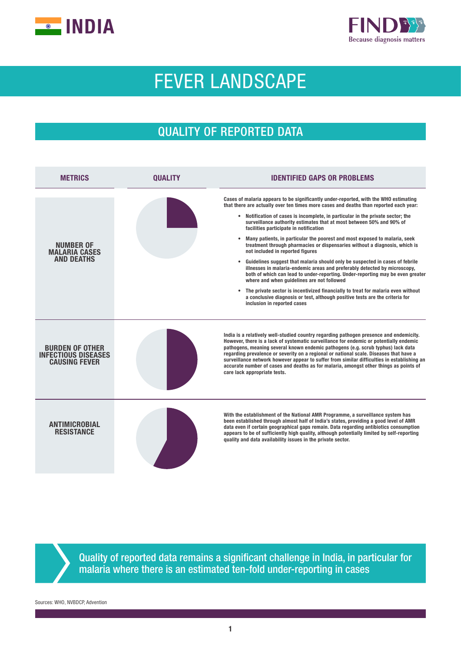



# FEVER LANDSCAPE

## QUALITY OF REPORTED DATA

| <b>METRICS</b>                                                               | <b>OUALITY</b> | <b>IDENTIFIED GAPS OR PROBLEMS</b>                                                                                                                                                                                                                                                                                                                                                                                                                                                                                                                                                                                                                                                                                                                                                                                                                                                                                                                                                                                                                                                                           |  |  |  |  |
|------------------------------------------------------------------------------|----------------|--------------------------------------------------------------------------------------------------------------------------------------------------------------------------------------------------------------------------------------------------------------------------------------------------------------------------------------------------------------------------------------------------------------------------------------------------------------------------------------------------------------------------------------------------------------------------------------------------------------------------------------------------------------------------------------------------------------------------------------------------------------------------------------------------------------------------------------------------------------------------------------------------------------------------------------------------------------------------------------------------------------------------------------------------------------------------------------------------------------|--|--|--|--|
| <b>NUMBER OF</b><br><b>MALARIA CASES</b><br><b>AND DEATHS</b>                |                | Cases of malaria appears to be significantly under-reported, with the WHO estimating<br>that there are actually over ten times more cases and deaths than reported each year:<br>• Notification of cases is incomplete, in particular in the private sector; the<br>surveillance authority estimates that at most between 50% and 90% of<br>facilities participate in notification<br>Many patients, in particular the poorest and most exposed to malaria, seek<br>$\bullet$<br>treatment through pharmacies or dispensaries without a diagnosis, which is<br>not included in reported figures<br>Guidelines suggest that malaria should only be suspected in cases of febrile<br>$\bullet$<br>illnesses in malaria-endemic areas and preferably detected by microscopy,<br>both of which can lead to under-reporting. Under-reporting may be even greater<br>where and when guidelines are not followed<br>The private sector is incentivized financially to treat for malaria even without<br>a conclusive diagnosis or test, although positive tests are the criteria for<br>inclusion in reported cases |  |  |  |  |
| <b>BURDEN OF OTHER</b><br><b>INFECTIOUS DISEASES</b><br><b>CAUSING FEVER</b> |                | India is a relatively well-studied country regarding pathogen presence and endemicity.<br>However, there is a lack of systematic surveillance for endemic or potentially endemic<br>pathogens, meaning several known endemic pathogens (e.g. scrub typhus) lack data<br>regarding prevalence or severity on a regional or national scale. Diseases that have a<br>surveillance network however appear to suffer from similar difficulties in establishing an<br>accurate number of cases and deaths as for malaria, amongst other things as points of<br>care lack appropriate tests.                                                                                                                                                                                                                                                                                                                                                                                                                                                                                                                        |  |  |  |  |
| <b>ANTIMICROBIAL</b><br><b>RESISTANCE</b>                                    |                | With the establishment of the National AMR Programme, a surveillance system has<br>been established through almost half of India's states, providing a good level of AMR<br>data even if certain geographical gaps remain. Data regarding antibiotics consumption<br>appears to be of sufficiently high quality, although potentially limited by self-reporting<br>quality and data availability issues in the private sector.                                                                                                                                                                                                                                                                                                                                                                                                                                                                                                                                                                                                                                                                               |  |  |  |  |

Quality of reported data remains a significant challenge in India, in particular for malaria where there is an estimated ten-fold under-reporting in cases

Sources: WHO, NVBDCP, Advention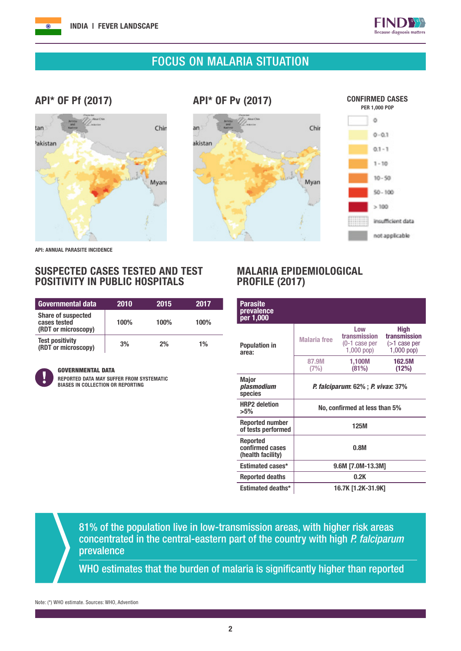



### FOCUS ON MALARIA SITUATION

#### API\* OF Pf (2017)



API\* OF Pv (2017)

an

akistan



API: ANNUAL PARASITE INCIDENCE

#### SUSPECTED CASES TESTED AND TEST POSITIVITY IN PUBLIC HOSPITALS

| <b>Governmental data</b>                                         | 2010 | 2015 | 2017 |
|------------------------------------------------------------------|------|------|------|
| <b>Share of suspected</b><br>cases tested<br>(RDT or microscopy) | 100% | 100% | 100% |
| <b>Test positivity</b><br>(RDT or microscopy)                    | 3%   | 2%   | 1%   |



#### GOVERNMENTAL DATA

REPORTED DATA MAY SUFFER FROM SYSTEMATIC BIASES IN COLLECTION OR REPORTING

#### MALARIA EPIDEMIOLOGICAL PROFILE (2017)

| Parasite<br>prevalence<br>per 1,000                     |                                                    |                                                         |                                                         |  |
|---------------------------------------------------------|----------------------------------------------------|---------------------------------------------------------|---------------------------------------------------------|--|
| <b>Population in</b><br>area:                           | <b>Malaria</b> free                                | Low<br>transmission<br>$(0-1)$ case per<br>$1,000$ pop) | High<br>transmission<br>$($ >1 case per<br>$1,000$ pop) |  |
|                                                         | 87.9M<br>(7%)                                      | 1,100M<br>(81%)                                         | 162.5M<br>(12%)                                         |  |
| <b>Major</b><br>plasmodium<br>species                   | <i>P. falciparum</i> : 62% ; <i>P. vivax</i> : 37% |                                                         |                                                         |  |
| <b>HRP2</b> deletion<br>$>5\%$                          | No, confirmed at less than 5%                      |                                                         |                                                         |  |
| <b>Reported number</b><br>of tests performed            | 125M                                               |                                                         |                                                         |  |
| <b>Reported</b><br>confirmed cases<br>(health facility) | 0.8M                                               |                                                         |                                                         |  |
| <b>Estimated cases*</b>                                 | 9.6M [7.0M-13.3M]                                  |                                                         |                                                         |  |
| <b>Reported deaths</b>                                  |                                                    | 0.2K                                                    |                                                         |  |
| <b>Estimated deaths*</b>                                |                                                    | 16.7K [1.2K-31.9K]                                      |                                                         |  |

81% of the population live in low-transmission areas, with higher risk areas concentrated in the central-eastern part of the country with high *P. falciparum* prevalence

WHO estimates that the burden of malaria is significantly higher than reported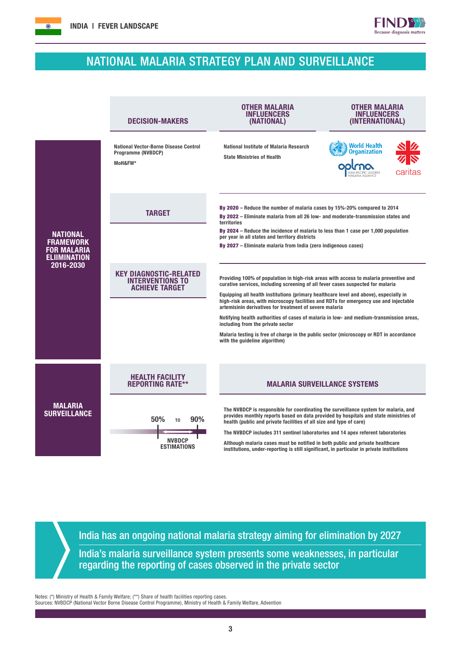## NATIONAL MALARIA STRATEGY PLAN AND SURVEILLANCE

 $FIND$ Because diagnosis matters

|                                                                                               | <b>DECISION-MAKERS</b>                                                            | OTHER MALARIA<br><b>INFLUENCERS</b><br>(NATIONAL)                                                                                                                                                                                                  | <b>OTHER MALARIA</b><br><b>INFLUENCERS</b><br>(INTERNATIONAL) |  |  |  |
|-----------------------------------------------------------------------------------------------|-----------------------------------------------------------------------------------|----------------------------------------------------------------------------------------------------------------------------------------------------------------------------------------------------------------------------------------------------|---------------------------------------------------------------|--|--|--|
| <b>NATIONAL</b><br><b>FRAMEWORK</b><br><b>FOR MALARIA</b><br><b>ELIIMINATION</b><br>2016-2030 | <b>National Vector-Borne Disease Control</b><br>Programme (NVBDCP)<br>MoH&FW*     | National Institute of Malaria Research<br><b>State Ministries of Health</b>                                                                                                                                                                        | <b>World Health</b><br><b>Organization</b><br>caritas         |  |  |  |
|                                                                                               | <b>TARGET</b>                                                                     | By 2020 – Reduce the number of malaria cases by 15%-20% compared to 2014<br>By 2022 – Eliminate malaria from all 26 low- and moderate-transmission states and<br>territories                                                                       |                                                               |  |  |  |
|                                                                                               |                                                                                   | By 2024 – Reduce the incidence of malaria to less than 1 case per 1,000 population<br>per year in all states and territory districts<br>By 2027 – Eliminate malaria from India (zero indigenous cases)                                             |                                                               |  |  |  |
|                                                                                               | <b>KEY DIAGNOSTIC-RELATED</b><br><b>INTERVENTIONS TO</b><br><b>ACHIEVE TARGET</b> | Providing 100% of population in high-risk areas with access to malaria preventive and<br>curative services, including screening of all fever cases suspected for malaria                                                                           |                                                               |  |  |  |
|                                                                                               |                                                                                   | Equipping all health institutions (primary healthcare level and above), especially in<br>high-risk areas, with microscopy facilities and RDTs for emergency use and injectable<br>artemisinin derivatives for treatment of severe malaria          |                                                               |  |  |  |
|                                                                                               |                                                                                   | Notifying health authorities of cases of malaria in low- and medium-transmission areas,<br>including from the private sector                                                                                                                       |                                                               |  |  |  |
|                                                                                               |                                                                                   | Malaria testing is free of charge in the public sector (microscopy or RDT in accordance<br>with the quideline algorithm)                                                                                                                           |                                                               |  |  |  |
|                                                                                               | <b>HEALTH FACILITY</b>                                                            |                                                                                                                                                                                                                                                    |                                                               |  |  |  |
|                                                                                               | <b>REPORTING RATE**</b>                                                           | <b>MALARIA SURVEILLANCE SYSTEMS</b>                                                                                                                                                                                                                |                                                               |  |  |  |
| <b>MALARIA</b><br><b>SURVEILLANCE</b>                                                         | 50%<br>90%<br>T <sub>0</sub>                                                      | The NVBDCP is responsible for coordinating the surveillance system for malaria, and<br>provides monthly reports based on data provided by hospitals and state ministries of<br>health (public and private facilities of all size and type of care) |                                                               |  |  |  |
|                                                                                               | <b>NVBDCP</b>                                                                     | The NVBDCP includes 311 sentinel laboratories and 14 apex referent laboratories                                                                                                                                                                    |                                                               |  |  |  |
|                                                                                               | <b>ESTIMATIONS</b>                                                                | Although malaria cases must be notified in both public and private healthcare<br>institutions, under-reporting is still significant, in particular in private institutions                                                                         |                                                               |  |  |  |

India has an ongoing national malaria strategy aiming for elimination by 2027 India's malaria surveillance system presents some weaknesses, in particular regarding the reporting of cases observed in the private sector

Notes: (\*) Ministry of Health & Family Welfare; (\*\*) Share of health facilities reporting cases. Sources: NVBDCP (National Vector Borne Disease Control Programme), Ministry of Health & Family Welfare, Advention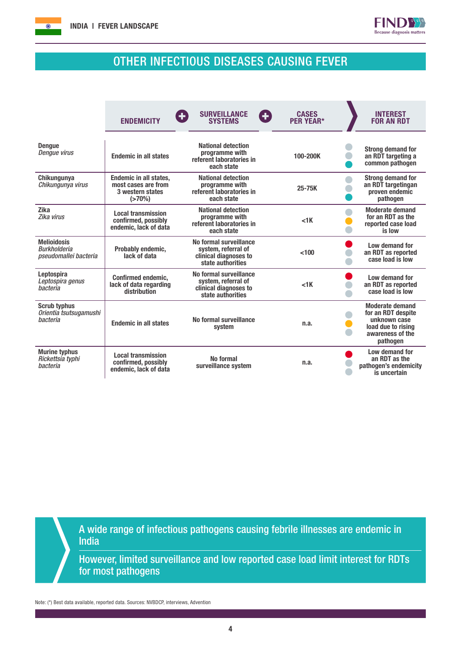



## OTHER INFECTIOUS DISEASES CAUSING FEVER

|                                                                    | <b>ENDEMICITY</b>                                                                  | <b>SURVEILLANCE</b><br>8<br>Ð<br><b>SYSTEMS</b>                                             | <b>CASES</b><br><b>PER YEAR*</b>                                             | <b>INTEREST</b><br><b>FOR AN RDT</b>                                                                               |
|--------------------------------------------------------------------|------------------------------------------------------------------------------------|---------------------------------------------------------------------------------------------|------------------------------------------------------------------------------|--------------------------------------------------------------------------------------------------------------------|
| <b>Denaue</b><br>Dengue virus                                      | <b>Endemic in all states</b>                                                       | <b>National detection</b><br>programme with<br>referent laboratories in<br>each state       | 100-200K                                                                     | <b>Strong demand for</b><br>an RDT targeting a<br>common pathogen                                                  |
| Chikungunya<br>Chikungunya virus                                   | <b>Endemic in all states,</b><br>most cases are from<br>3 western states<br>(>70%) | <b>National detection</b><br>programme with<br>referent laboratories in<br>each state       | <b>Strong demand for</b><br>an RDT targetingan<br>proven endemic<br>pathogen |                                                                                                                    |
| <b>Zika</b><br>Zika virus                                          | <b>Local transmission</b><br>confirmed, possibly<br>endemic, lack of data          | <b>National detection</b><br>programme with<br>referent laboratories in<br>each state       | $<$ 1 $K$                                                                    | <b>Moderate demand</b><br>for an RDT as the<br>reported case load<br>is low                                        |
| <b>Melioidosis</b><br><b>Burkholderia</b><br>pseudomallei bacteria | Probably endemic,<br>lack of data                                                  | No formal surveillance<br>system, referral of<br>clinical diagnoses to<br>state authorities | < 100                                                                        | Low demand for<br>an RDT as reported<br>case load is low                                                           |
| Leptospira<br>Leptospira genus<br><i>hacteria</i>                  | Confirmed endemic,<br>lack of data regarding<br>distribution                       | No formal surveillance<br>system, referral of<br>clinical diagnoses to<br>state authorities | $<$ 1 $K$                                                                    | Low demand for<br>an RDT as reported<br>case load is low                                                           |
| <b>Scrub typhus</b><br>Orientia tsutsugamushi<br>bacteria          | <b>Endemic in all states</b>                                                       | No formal surveillance<br>system                                                            | n.a.                                                                         | <b>Moderate demand</b><br>for an RDT despite<br>unknown case<br>load due to rising<br>awareness of the<br>pathogen |
| <b>Murine typhus</b><br>Rickettsia typhi<br><b>bacteria</b>        | <b>Local transmission</b><br>confirmed, possibly<br>endemic, lack of data          | No formal<br>surveillance system                                                            | n.a.                                                                         | Low demand for<br>an RDT as the<br>pathogen's endemicity<br>is uncertain                                           |

A wide range of infectious pathogens causing febrile illnesses are endemic in India

However, limited surveillance and low reported case load limit interest for RDTs for most pathogens

Note: (\*) Best data available, reported data. Sources: NVBDCP, interviews, Advention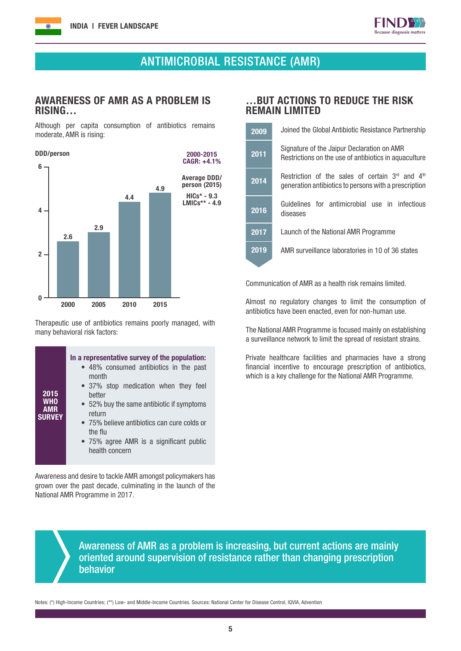

## ANTIMICROBIAL RESISTANCE (AMR)

#### AWARENESS OF AMR AS A PROBLEM IS RISING…

Although per capita consumption of antibiotics remains moderate, AMR is rising:



Therapeutic use of antibiotics remains poorly managed, with many behavioral risk factors:

| In a representative survey of the population:<br>• 48% consumed antibiotics in the past<br>month<br>• 37% stop medication when they feel<br>2015<br>better<br><b>WHO</b><br>• 52% buy the same antibiotic if symptoms<br><b>AMR</b><br>return<br><b>SURVEY</b><br>• 75% believe antibiotics can cure colds or<br>the flu<br>• 75% agree AMR is a significant public<br>health concern |
|---------------------------------------------------------------------------------------------------------------------------------------------------------------------------------------------------------------------------------------------------------------------------------------------------------------------------------------------------------------------------------------|
|---------------------------------------------------------------------------------------------------------------------------------------------------------------------------------------------------------------------------------------------------------------------------------------------------------------------------------------------------------------------------------------|

Awareness and desire to tackle AMR amongst policymakers has grown over the past decade, culminating in the launch of the National AMR Programme in 2017.

#### …BUT ACTIONS TO REDUCE THE RISK REMAIN LIMITED

| 2009 | Joined the Global Antibiotic Resistance Partnership                                                          |  |  |  |  |  |
|------|--------------------------------------------------------------------------------------------------------------|--|--|--|--|--|
| 2011 | Signature of the Jaipur Declaration on AMR<br>Restrictions on the use of antibiotics in aquaculture          |  |  |  |  |  |
| 2014 | Restriction of the sales of certain $3rd$ and $4th$<br>generation antibiotics to persons with a prescription |  |  |  |  |  |
| 2016 | Guidelines for antimicrobial use in infectious<br>diseases                                                   |  |  |  |  |  |
| 2017 | Launch of the National AMR Programme                                                                         |  |  |  |  |  |
| 2019 | AMR surveillance laboratories in 10 of 36 states                                                             |  |  |  |  |  |
|      |                                                                                                              |  |  |  |  |  |

Communication of AMR as a health risk remains limited.

Almost no regulatory changes to limit the consumption of antibiotics have been enacted, even for non-human use.

The National AMR Programme is focused mainly on establishing a surveillance network to limit the spread of resistant strains.

Private healthcare facilities and pharmacies have a strong financial incentive to encourage prescription of antibiotics, which is a key challenge for the National AMR Programme.

Awareness of AMR as a problem is increasing, but current actions are mainly oriented around supervision of resistance rather than changing prescription behavior

Notes: (\*) High-Income Countries; (\*\*) Low- and Middle-Income Countries. Sources: National Center for Disease Control, IQVIA, Advention